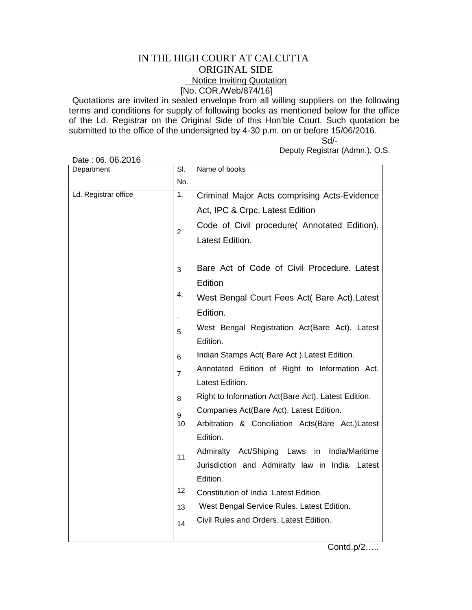## IN THE HIGH COURT AT CALCUTTA ORIGINAL SIDE **Notice Inviting Quotation** [No. COR./Web/874/16]

Quotations are invited in sealed envelope from all willing suppliers on the following terms and conditions for supply of following books as mentioned below for the office of the Ld. Registrar on the Original Side of this Hon'ble Court. Such quotation be submitted to the office of the undersigned by 4-30 p.m. on or before 15/06/2016.

 Sd/- Deputy Registrar (Admn.), O.S.

| Department           | $\overline{\mathsf{SI}}$ | Name of books                                       |
|----------------------|--------------------------|-----------------------------------------------------|
|                      | No.                      |                                                     |
| Ld. Registrar office | 1.                       | Criminal Major Acts comprising Acts-Evidence        |
|                      |                          | Act, IPC & Crpc. Latest Edition                     |
|                      | $\overline{2}$           | Code of Civil procedure( Annotated Edition).        |
|                      |                          | Latest Edition.                                     |
|                      |                          |                                                     |
|                      | 3                        | Bare Act of Code of Civil Procedure. Latest         |
|                      |                          | Edition                                             |
|                      | 4.                       | West Bengal Court Fees Act( Bare Act). Latest       |
|                      |                          | Edition.                                            |
|                      | 5                        | West Bengal Registration Act(Bare Act). Latest      |
|                      |                          | Edition.                                            |
|                      | 6                        | Indian Stamps Act( Bare Act). Latest Edition.       |
|                      | $\overline{7}$           | Annotated Edition of Right to Information Act.      |
|                      |                          | Latest Edition.                                     |
|                      | 8                        | Right to Information Act(Bare Act). Latest Edition. |
|                      | 9                        | Companies Act(Bare Act). Latest Edition.            |
|                      | 10                       | Arbitration & Conciliation Acts(Bare Act.)Latest    |
|                      |                          | Edition.                                            |
|                      | 11                       | Admiralty Act/Shiping Laws<br>India/Maritime<br>in  |
|                      |                          | Jurisdiction and Admiralty law in India .Latest     |
|                      |                          | Edition.                                            |
|                      | 12                       | Constitution of India . Latest Edition.             |
|                      | 13                       | West Bengal Service Rules. Latest Edition.          |
|                      | 14                       | Civil Rules and Orders. Latest Edition.             |
|                      |                          |                                                     |

Date : 06. 06.2016

Contd.p/2…..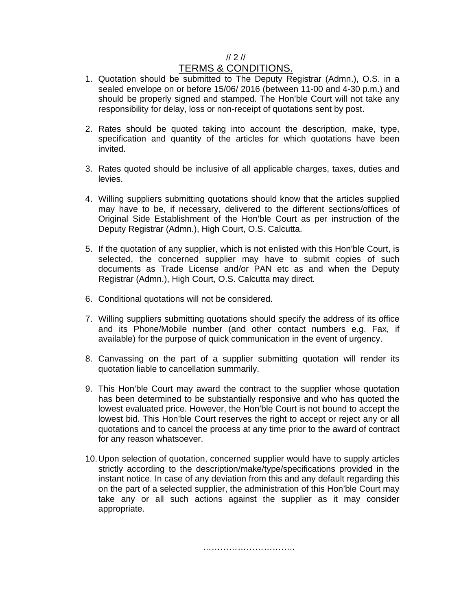## // 2 //

## TERMS & CONDITIONS.

- 1. Quotation should be submitted to The Deputy Registrar (Admn.), O.S. in a sealed envelope on or before 15/06/ 2016 (between 11-00 and 4-30 p.m.) and should be properly signed and stamped. The Hon'ble Court will not take any responsibility for delay, loss or non-receipt of quotations sent by post.
- 2. Rates should be quoted taking into account the description, make, type, specification and quantity of the articles for which quotations have been invited.
- 3. Rates quoted should be inclusive of all applicable charges, taxes, duties and levies.
- 4. Willing suppliers submitting quotations should know that the articles supplied may have to be, if necessary, delivered to the different sections/offices of Original Side Establishment of the Hon'ble Court as per instruction of the Deputy Registrar (Admn.), High Court, O.S. Calcutta.
- 5. If the quotation of any supplier, which is not enlisted with this Hon'ble Court, is selected, the concerned supplier may have to submit copies of such documents as Trade License and/or PAN etc as and when the Deputy Registrar (Admn.), High Court, O.S. Calcutta may direct.
- 6. Conditional quotations will not be considered.
- 7. Willing suppliers submitting quotations should specify the address of its office and its Phone/Mobile number (and other contact numbers e.g. Fax, if available) for the purpose of quick communication in the event of urgency.
- 8. Canvassing on the part of a supplier submitting quotation will render its quotation liable to cancellation summarily.
- 9. This Hon'ble Court may award the contract to the supplier whose quotation has been determined to be substantially responsive and who has quoted the lowest evaluated price. However, the Hon'ble Court is not bound to accept the lowest bid. This Hon'ble Court reserves the right to accept or reject any or all quotations and to cancel the process at any time prior to the award of contract for any reason whatsoever.
- 10. Upon selection of quotation, concerned supplier would have to supply articles strictly according to the description/make/type/specifications provided in the instant notice. In case of any deviation from this and any default regarding this on the part of a selected supplier, the administration of this Hon'ble Court may take any or all such actions against the supplier as it may consider appropriate.

………………………………………